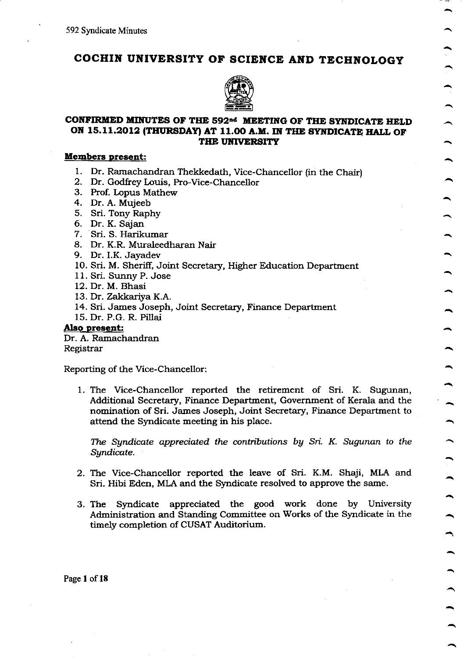# COCHIN UNIVERSITY OF SCIENCE AND TECHNOLOGY



# CONFIRMED MINUTES OF THE 592<sup>nd</sup> MEETING OF THE SYNDICATE HELD ON 15.11.2012 (THURSDAY) AT 11.00 A.M. IN THE SYNDICATE HALL OF THE UNIVERSITY

# Members present:

- 1. Dr. Ramachandran Thekkedath, Vice-Chancellor (in the Chair) 2. Dr. Godfrey Louis, Pro-Vice-Chancellor
- 
- 3. Prof. Lopus Mathew
- 4. Dr. A. Mujeeb
- 5. Sri. Tony Raphy
- 6. Dr. K. Sajan
- 7. Sri. S. Harikumar
- 8. Dr. K.R. Muraleedharan Nair 9. Dr. I.K. Jayadev
- 
- 10. Sri. M. Sheriff, Joint Secretary, Higher Education Department
- <sup>1</sup>1 . Sri. Sunny P. Jose
- 12. Dr. M. Bhasi
- 13. Dr. Zakkariya K.A.
- 14. Sri. James Joseph, Joint Secretary, Finance Department
- 15. Dr. P.G. R. Pillai

Also present:

Dr. A. Ramachandran Registrar

Reporting of the Vice-Chancellor:

1. The Vice-Chancellor reported the retirement of Sri. K. Sugunan, Additional Secretary, Finance Department, Government of Kerala and the nomination of Sri. James Joseph, Joint Secretary, Finance Department to attend the Syndicate meeting in his place.

The Syndicate appreciated the contributions by Sri. K. Sugunan to the Sgndicate.

- 2. The Vice-Chancellor reported the leave of Sri. K.M. Shaji, MLA and Sri. Hibi Eden, MLA and the Syndicate resolved to approve the same.
- 3. The Syndicate appreciated the gogd work done by University Administration and Standing Committee on Works of the Syndicate in the timely completion of CUSAT Auditorium.

Page I of 18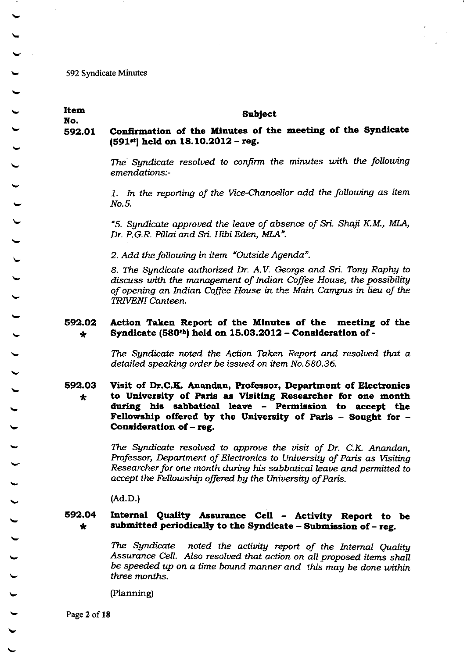**Item Subject** No. Confirmation of the Minutes of the meeting of the Syndicate 592.01  $(591<sup>st</sup>)$  held on 18.10.2012 - reg.

The Syndicate resolved to confirm the minutes with the following emendations:-

1. In the reporting of the Vice-Chancellor add the following as item No.5.

"5. Syndicate approved the leave of absence of Sri. Shaji K.M., MLA, Dr. P.G.R. Pillai and Sri. Hibi Eden, MLA".

2. Add the following in item "Outside Agenda".

8. The Syndicate authorized Dr. A.V. George and Sri. Tony Raphy to discuss with the management of Indian Coffee House, the possibility of opening an Indian Coffee House in the Main Campus in lieu of the TRIVENI Canteen.

#### 592.02 Action Taken Report of the Minutes of the meeting of the Syndicate (580th) held on 15.03.2012 - Consideration of - $\star$

The Syndicate noted the Action Taken Report and resolved that a detailed speaking order be issued on item No.580.36.

592.03 Visit of Dr.C.K. Anandan, Professor, Department of Electronics to University of Paris as Visiting Researcher for one month  $\star$ during his sabbatical leave - Permission to accept the Fellowship offered by the University of Paris - Sought for -Consideration of  $-$  reg.

> The Syndicate resolved to approve the visit of Dr. C.K. Anandan, Professor, Department of Electronics to University of Paris as Visiting Researcher for one month during his sabbatical leave and permitted to accept the Fellowship offered by the University of Paris.

 $(Ad.D.)$ 

### Internal Quality Assurance Cell - Activity Report to be 592.04 submitted periodically to the Syndicate  $-$  Submission of  $-$  reg.  $\star$

noted the activity report of the Internal Quality The Syndicate Assurance Cell. Also resolved that action on all proposed items shall be speeded up on a time bound manner and this may be done within three months.

(Planning)

Page 2 of 18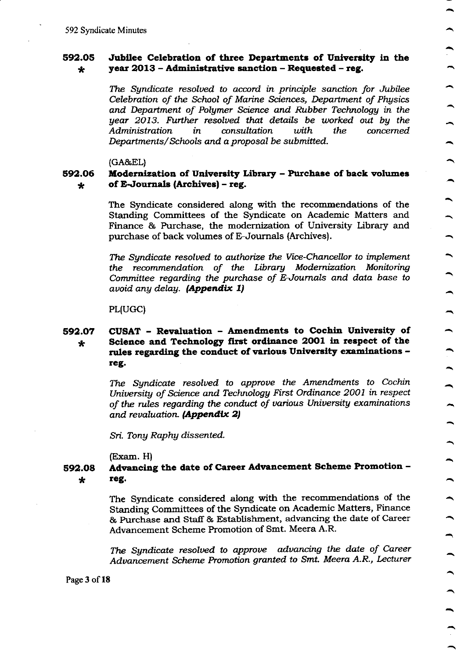#### 592.05 Jubilee Celebration of three Departments of University in the year  $2013$  – Administrative sanction – Requested – reg.  $\star$

The Syndicate resolved to accord in principle sanction for Jubilee Celebration of the School of Marine Sciences, Department of Physics and Department of Polymer Science and Rubber Technology in the year 2013. Further resolved that details be worked out by the with the Administration consultation concerned in Departments/Schools and a proposal be submitted.

 $(GA\&EL)$ 

#### Modernization of University Library - Purchase of back volumes 592.06 of E-Journals (Archives) - reg.  $\star$

The Syndicate considered along with the recommendations of the Standing Committees of the Syndicate on Academic Matters and Finance & Purchase, the modernization of University Library and purchase of back volumes of E-Journals (Archives).

The Syndicate resolved to authorize the Vice-Chancellor to implement the recommendation of the Library Modernization Monitoring Committee regarding the purchase of E-Journals and data base to avoid any delay. (Appendix 1)

PL(UGC)

### CUSAT - Revaluation - Amendments to Cochin University of 592.07 Science and Technology first ordinance 2001 in respect of the  $\star$ rules regarding the conduct of various University examinations reg.

The Sundicate resolved to approve the Amendments to Cochin University of Science and Technology First Ordinance 2001 in respect of the rules regarding the conduct of various University examinations and revaluation. (Appendix 2)

Sri. Tony Raphy dissented.

 $(Exam. H)$ 

#### Advancing the date of Career Advancement Scheme Promotion -592.08 reg.  $\ast$

The Syndicate considered along with the recommendations of the Standing Committees of the Syndicate on Academic Matters, Finance & Purchase and Staff & Establishment, advancing the date of Career Advancement Scheme Promotion of Smt. Meera A.R.

The Syndicate resolved to approve advancing the date of Career Advancement Scheme Promotion granted to Smt. Meera A.R., Lecturer

Page 3 of 18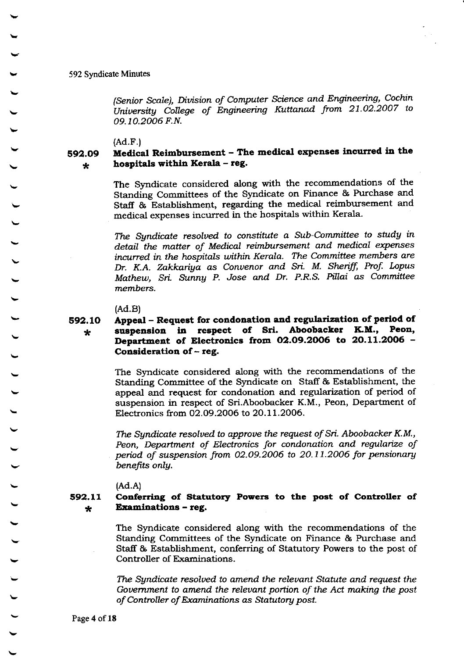(Senior Scale), Division of Computer Science and Engineering, Cochin University College of Engineering Kuttanad from 21.02.2007 to 09.10.2006 F.N.

 $(Ad.F.)$ 

#### Medical Reimbursement - The medical expenses incurred in the 592.09 hospitals within Kerala - reg.  $\star$

The Syndicate considered along with the recommendations of the Standing Committees of the Syndicate on Finance & Purchase and Staff & Establishment, regarding the medical reimbursement and medical expenses incurred in the hospitals within Kerala.

The Syndicate resolved to constitute a Sub-Committee to study in detail the matter of Medical reimbursement and medical expenses incurred in the hospitals within Kerala. The Committee members are Dr. K.A. Zakkariya as Convenor and Sri. M. Sheriff, Prof. Lopus Mathew, Sri. Sunny P. Jose and Dr. P.R.S. Pillai as Committee members.

 $(Ad.B)$ 

### Appeal – Request for condonation and regularization of period of 592.10 suspension in respect of Sri. Aboobacker K.M., Peon.  $\star$ Department of Electronics from 02.09.2006 to 20.11.2006 -Consideration of - reg.

The Syndicate considered along with the recommendations of the Standing Committee of the Syndicate on Staff & Establishment, the appeal and request for condonation and regularization of period of suspension in respect of Sri.Aboobacker K.M., Peon, Department of Electronics from 02.09.2006 to 20.11.2006.

The Sundicate resolved to approve the request of Sri. Aboobacker K.M., Peon, Department of Electronics for condonation and regularize of period of suspension from 02.09.2006 to 20.11.2006 for pensionary benefits only.

 $(Ad.A)$ 

#### 592.11 Conferring of Statutory Powers to the post of Controller of **Examinations - reg.**  $\star$

The Syndicate considered along with the recommendations of the Standing Committees of the Syndicate on Finance & Purchase and Staff & Establishment, conferring of Statutory Powers to the post of Controller of Examinations.

The Syndicate resolved to amend the relevant Statute and request the Government to amend the relevant portion of the Act making the post of Controller of Examinations as Statutory post.

Page 4 of 18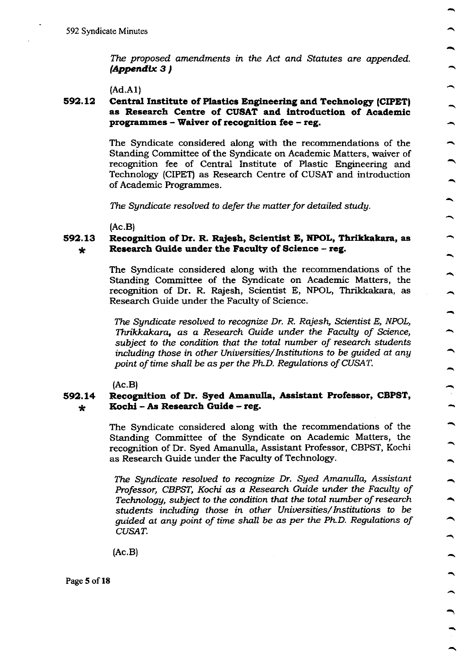The proposed amendments in the Act and Statutes are appended.  $(Appendix 3)$ 

 $(Ad.A1)$ 

### 592.12 Central Institute of Plastics Engineering and Technology (CIPET) as Research Centre of CUSAT and introduction of Academic programmes - Waiver of recognition fee - reg.

The Syndicate considered along with the recommendations of the Standing Committee of the Syndicate on Academic Matters, waiver of recognition fee of Central Institute of Plastic Engineering and Technology (CIPET) as Research Centre of CUSAT and introduction of Academic Programmes.

The Syndicate resolved to defer the matter for detailed study.

 $(Ac.B)$ 

#### 592.13 Recognition of Dr. R. Rajesh, Scientist E, NPOL, Thrikkakara, as Research Guide under the Faculty of Science - reg.  $\star$

The Syndicate considered along with the recommendations of the Standing Committee of the Syndicate on Academic Matters, the recognition of Dr. R. Rajesh, Scientist E, NPOL, Thrikkakara, as Research Guide under the Faculty of Science.

The Sundicate resolved to recognize Dr. R. Rajesh, Scientist E, NPOL, Thrikkakara, as a Research Guide under the Faculty of Science, subject to the condition that the total number of research students including those in other Universities/Institutions to be guided at any point of time shall be as per the Ph.D. Regulations of CUSAT.

 $(Ac.B)$ 

#### Recognition of Dr. Syed Amanulla, Assistant Professor, CBPST, 592.14 Kochi - As Research Guide - reg.  $\star$

The Syndicate considered along with the recommendations of the Standing Committee of the Syndicate on Academic Matters, the recognition of Dr. Syed Amanulla, Assistant Professor, CBPST, Kochi as Research Guide under the Faculty of Technology.

 $\overline{\phantom{a}}$ 

 $\overline{\phantom{0}}$ 

 $\rightarrow$ 

The Syndicate resolved to recognize Dr. Syed Amanulla, Assistant Professor, CBPST, Kochi as a Research Guide under the Faculty of Technology, subject to the condition that the total number of research students including those in other Universities/Institutions to be quided at any point of time shall be as per the Ph.D. Regulations of CUSAT.

 $(Ac.B)$ 

Page 5 of 18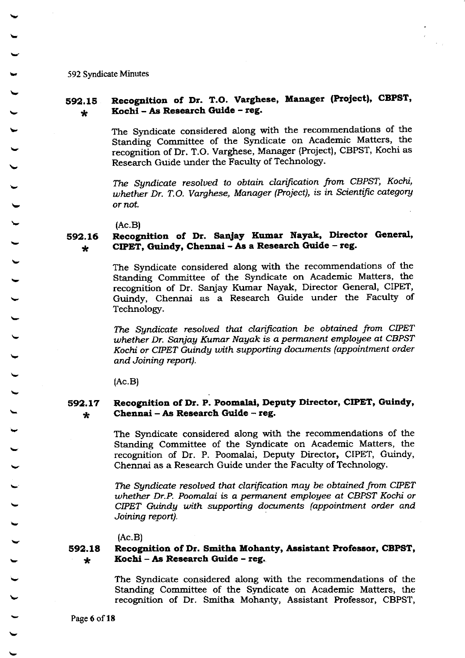### 592.15 \* Recognition of Dr. T.O. Varghese, Manager (Project), CBPST, Kochi - As Research Guide - reg.

The Syndicate considered along with the recommendations of the Standing Committee of the Syndicate on Academic Matters, the recognition of Dr. T.O. Varghese, Manager (Project), CBPST, Kochi as Research Guide under the Faculty of Technologr.

The Syndicate resolved to obtain clarification from CBPST, Kochi, whether Dr. T.O. Varghese, Manager (Project), is in Scientific category or not,

(Ac.B)

#### s92.16 \* Recognition of Dr. Sanjay Kumar Nayak, Director General, CIPET, Guindy, Chennai - As a Research Guide - reg.

The Syndicate considered along with the recommendations of the Standing Committee of the Syndicate on Academic Matters, the recognition of Dr. Sanjay Kumar Nayak, Director General, CIPET, Guindy, Chennai as a Research Guide under the Faculty of Technology.

The Syndicate resolved that clarification be obtained from CIPET whether Dr. Sanjay Kumar Nayak is a permanent employee at CBPST Kochi or CIPET Guindy with supporting documents (appointment order and Joining report).

(Ac.B)

#### s92.17 \* Recognition of Dr. P. Poomalai, Deputy Director, CIPET, Guindy, Chennei - As Research Gulde - reg.

The Syndicate considered along with the recommendations of the Standing Committee of the Syndicate on Academic Matters, the recognition of Dr. P. Poomalai, Deputy Director, CIPET, Guindy, Chennai as a Research Guide under the Faculty of Technology.

The Syndicate resolved that clarification may be obtained from CIPET uhether Dr-P. Poomalai is a permanenl emplogee at CBPST Kochi or CIPET Guindy with supporting documents (appointment order and. Joining report).

 $(Ac.B)$ 

#### 592.18 \* Recognition of Dr. Smitha Mohanty, Assistant Professor, CBPST, Kochl - As Rcsearch Gulde - teg.

The Syndicate considered along with the recommendations of the Standing Committee of the Syndicate on Academic Matters, the recognition of Dr. Smitha Mohanty, Assistant Professor, CBPST,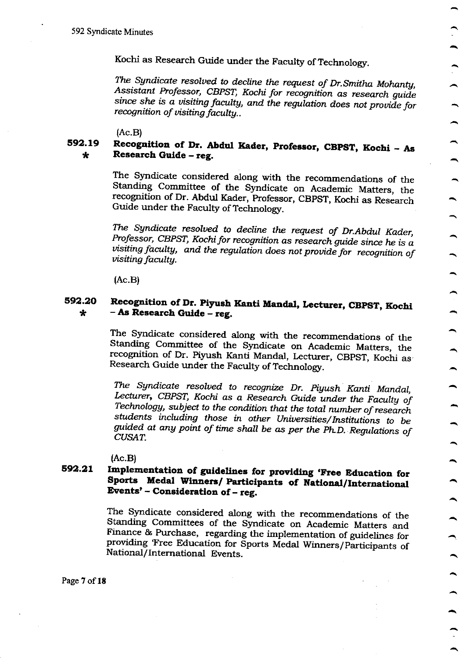Kochi as Research Guide under the Faculty of Technology.

The Syndicate resolved to decline the request of Dr. Smitha Mohanty, Assistant Professor, CBPST, Kochi for recognition as research guide since she is a visiting faculty, and the regulation does not provide for recognition of visiting faculty..

 $(Ac.B)$ 

#### 592.19 Recognition of Dr. Abdul Kader, Professor, CBPST, Kochi - As Research Guide - reg.  $\star$

The Syndicate considered along with the recommendations of the Standing Committee of the Syndicate on Academic Matters, the recognition of Dr. Abdul Kader, Professor, CBPST, Kochi as Research Guide under the Faculty of Technology.

The Syndicate resolved to decline the request of Dr.Abdul Kader, Professor, CBPST, Kochi for recognition as research guide since he is a visiting faculty, and the regulation does not provide for recognition of *visiting faculty.* 

 $(AC.B)$ 

### Recognition of Dr. Piyush Kanti Mandal, Lecturer, CBPST, Kochi 592.20 - As Research Guide - reg.  $\star$

The Syndicate considered along with the recommendations of the Standing Committee of the Syndicate on Academic Matters, the recognition of Dr. Piyush Kanti Mandal, Lecturer, CBPST, Kochi as Research Guide under the Faculty of Technology.

The Syndicate resolved to recognize Dr. Piyush Kanti Mandal, Lecturer, CBPST, Kochi as a Research Guide under the Faculty of Technology, subject to the condition that the total number of research students including those in other Universities/Institutions to be guided at any point of time shall be as per the Ph.D. Regulations of **CUSAT.** 

 $(Ac.B)$ 

### Implementation of guidelines for providing 'Free Education for 592.21 Sports Medal Winners/ Participants of National/International Events' - Consideration of - reg.

The Syndicate considered along with the recommendations of the Standing Committees of the Syndicate on Academic Matters and Finance & Purchase, regarding the implementation of guidelines for providing 'Free Education for Sports Medal Winners/Participants of National/International Events.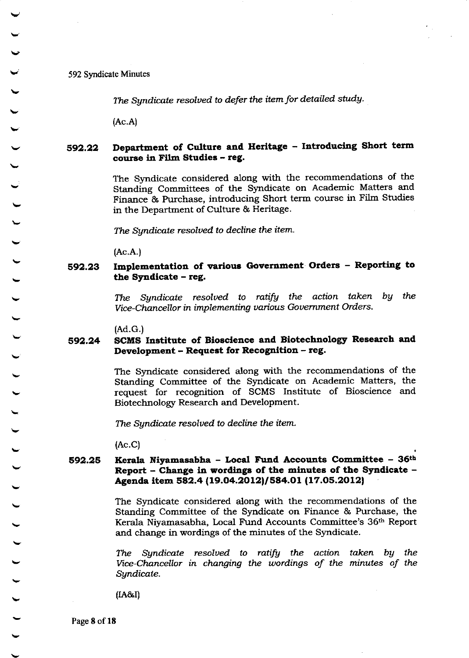The Syndicate resolved to defer the item for detailed study.

(Ac.A)

### s92.22 Department of Culture and Herltage - Iatroducing Short term course in Film Studies - reg.

The Syndicate considered along with the recommendations of the Standing Committees of the Syndicate on Academic Matters and Finance & Ruchase, introducing Short term course in Filrn Studies in the Department of Culture & Heritage.

The Syndicate resolued to decline the item.

(Ac.A.)

### s92.23 Implementation of various Government Orders - Reporting to the Syndicate  $-$  reg.

The Syndicate resolved to ratify the action taken by the Vice-Chancellor in implementing various Government Orders.

(Ad.G.)

### 692.24 SCMS Institute of Bioscience and Biotechnology Research and Development - Request for Recognition - reg.

The Syndicate considered along with the recommendations of the Standing Committee of the Syndicate on Academic Matters, the request for recognition of SCMS Institute of Bioscience and Biotechnolory Research and Development.

The Syndicate resolved to decline the item.

(Ac.c)

### s92,25 Kerala Niyamasabha - Local Fund Accounts Committee - 36th Report  $-$  Change in wordings of the minutes of the Syndicate  $-$ Agenda item 582.4 (19.04.2012)/584.01 (17.05.2012)

The Syndicate considered along with the recommendations of the Standing Committee of the Syndicate on Finance & Purchase, the Kerala Niyamasabha, Local Fund Accounts Committee's 36<sup>th</sup> Report and change in wordings of the minutes of the Syndicate.

The Syndicate resolved to ratify the action taken by the Vice-Chancellor in changing the wordings of the minutes of the Sgndicate.

 $(IA&I)$ 

Page 8 of 18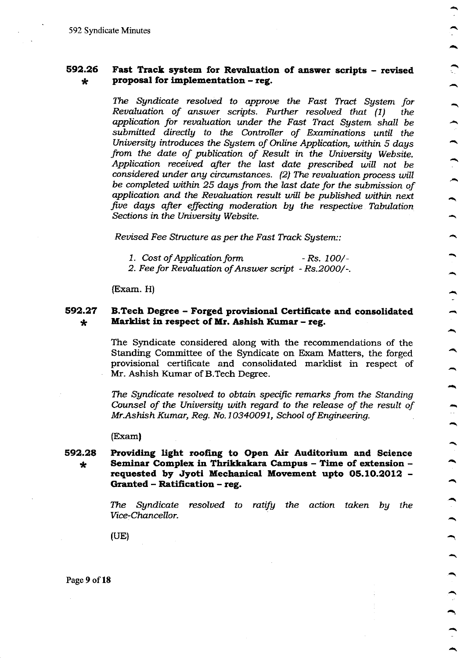#### 592.26 Fast Track system for Revaluation of answer scripts - revised proposal for implementation - reg.  $\star$

The Syndicate resolved to approve the Fast Tract System for Revaluation of answer scripts. Further resolved that (1) the application for revaluation under the Fast Tract System shall be submitted directly to the Controller of Examinations until the University introduces the System of Online Application, within 5 days from the date of publication of Result in the University Website. Application received after the last date prescribed will not be considered under any circumstances. (2) The revaluation process will be completed within 25 days from the last date for the submission of application and the Revaluation result will be published within next five days after effecting moderation by the respective Tabulation Sections in the University Website.

Revised Fee Structure as per the Fast Track System::

- 1. Cost of Application form  $-Rs. 100/-$
- 2. Fee for Revaluation of Answer script Rs.2000/-.

(Exam. H)

#### 592.27 B.Tech Degree – Forged provisional Certificate and consolidated Marklist in respect of Mr. Ashish Kumar - reg.  $\star$

The Syndicate considered along with the recommendations of the Standing Committee of the Syndicate on Exam Matters, the forged provisional certificate and consolidated marklist in respect of Mr. Ashish Kumar of B.Tech Degree.

The Syndicate resolved to obtain specific remarks from the Standing Counsel of the University with regard to the release of the result of Mr.Ashish Kumar, Reg. No.10340091, School of Engineering.

(Exam)

### 592.28 Providing light roofing to Open Air Auditorium and Science Seminar Complex in Thrikkakara Campus - Time of extension - $\star$ requested by Jyoti Mechanical Movement upto 05.10.2012 -Granted - Ratification - reg.

The Syndicate resolved to ratify the action taken by the Vice-Chancellor.

 $(UE)$ 

Page 9 of 18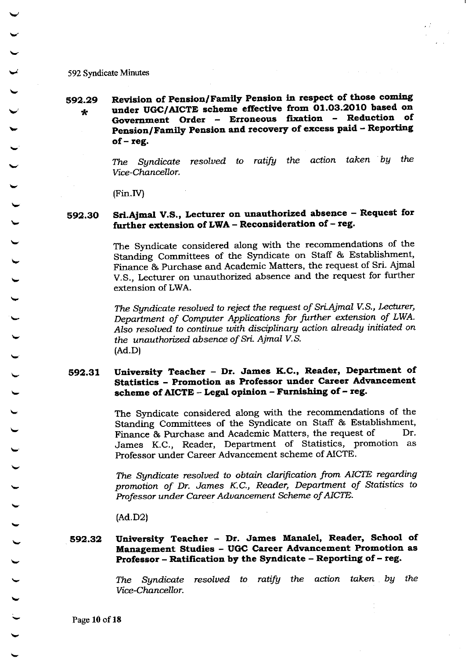### Revision of Pension/Family Pension in respect of those coming 592.29 under UGC/AICTE scheme effective from 01.03.2010 based on  $\star$ Government Order - Erroneous fixation - Reduction of Pension/Family Pension and recovery of excess paid - Reporting  $of - reg.$

The Syndicate resolved to ratify the action taken by the Vice-Chancellor.

(Fin.IV)

### Sri.Ajmal V.S., Lecturer on unauthorized absence - Request for 592.30 further extension of LWA - Reconsideration of - reg.

The Syndicate considered along with the recommendations of the Standing Committees of the Syndicate on Staff & Establishment, Finance & Purchase and Academic Matters, the request of Sri. Ajmal V.S., Lecturer on unauthorized absence and the request for further extension of LWA.

The Syndicate resolved to reject the request of Sri.Ajmal V.S., Lecturer, Department of Computer Applications for further extension of LWA. Also resolved to continue with disciplinary action already initiated on the unauthorized absence of Sri. Ajmal V.S.  $(Ad.D)$ 

### University Teacher - Dr. James K.C., Reader, Department of 592.31 Statistics - Promotion as Professor under Career Advancement scheme of AICTE - Legal opinion - Furnishing of - reg.

The Syndicate considered along with the recommendations of the Standing Committees of the Syndicate on Staff & Establishment, Finance & Purchase and Academic Matters, the request of Dr. James K.C., Reader, Department of Statistics, promotion as Professor under Career Advancement scheme of AICTE.

The Syndicate resolved to obtain clarification from AICTE regarding promotion of Dr. James K.C., Reader, Department of Statistics to Professor under Career Advancement Scheme of AICTE.

 $(Ad.D2)$ 

### University Teacher - Dr. James Manalel, Reader, School of 592.32 Management Studies - UGC Career Advancement Promotion as Professor – Ratification by the Syndicate – Reporting of – reg.

Syndicate resolved to ratify the action taken by the The Vice-Chancellor.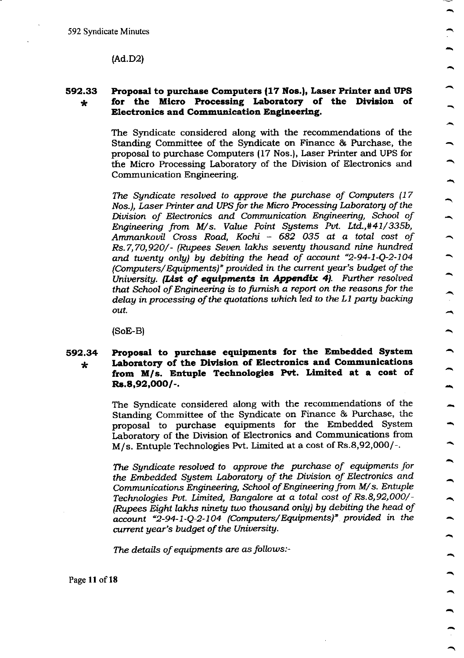$(Ad.D2)$ 

### 592.33 Proposal to purchase Computers (17 Nos.), Laser Printer and UPS for the Micro Processing Laboratory of the Division of  $\star$ **Electronics and Communication Engineering.**

The Syndicate considered along with the recommendations of the Standing Committee of the Syndicate on Finance & Purchase, the proposal to purchase Computers (17 Nos.), Laser Printer and UPS for the Micro Processing Laboratory of the Division of Electronics and Communication Engineering.

The Syndicate resolved to approve the purchase of Computers (17) Nos.), Laser Printer and UPS for the Micro Processing Laboratory of the Division of Electronics and Communication Engineering, School of Engineering from M/s. Value Point Systems Pvt. Ltd.,#41/335b, Ammankovil Cross Road, Kochi - 682 035 at a total cost of Rs.7,70,920/- (Rupees Seven lakhs seventy thousand nine hundred and twenty only) by debiting the head of account "2-94-1-Q-2-104 (Computers/Equipments)" provided in the current year's budget of the University. (List of equipments in Appendix 4). Further resolved that School of Engineering is to furnish a report on the reasons for the delay in processing of the quotations which led to the L1 party backing out.

 $\ddot{\phantom{1}}$ 

 $(SoE-B)$ 

### Proposal to purchase equipments for the Embedded System 592.34 Laboratory of the Division of Electronics and Communications  $\star$ from M/s. Entuple Technologies Pvt. Limited at a cost of  $Rs.8,92,000/-.$

The Syndicate considered along with the recommendations of the Standing Committee of the Syndicate on Finance & Purchase, the proposal to purchase equipments for the Embedded System Laboratory of the Division of Electronics and Communications from M/s. Entuple Technologies Pvt. Limited at a cost of Rs.8,92,000/-.

The Sundicate resolved to approve the purchase of equipments for the Embedded System Laboratory of the Division of Electronics and Communications Engineering, School of Engineering from M/s. Entuple Technologies Pvt. Limited, Bangalore at a total cost of Rs.8,92,000/-(Rupees Eight lakhs ninety two thousand only) by debiting the head of account "2-94-1-Q-2-104 (Computers/Equipments)" provided in the current year's budget of the University.

The details of equipments are as follows:-

Page 11 of 18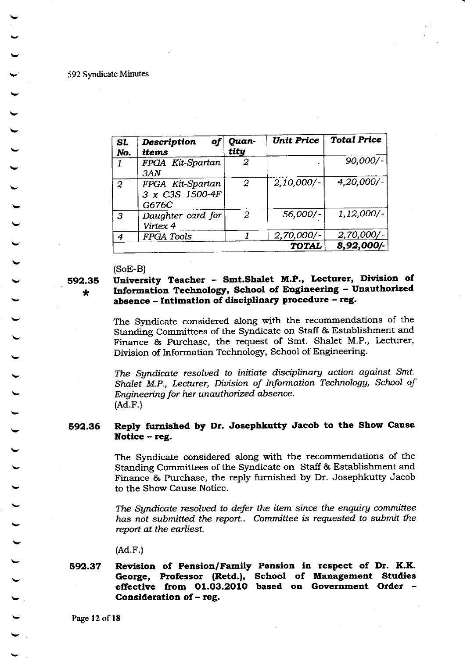| Sl.<br>No.     | <b>Description</b><br>of<br>items            | Quan-<br>tity  | <b>Unit Price</b> | <b>Total Price</b> |
|----------------|----------------------------------------------|----------------|-------------------|--------------------|
| 1              | FPGA Kit-Spartan<br>3AN                      | 2              |                   | $90,000/-$         |
| $\overline{2}$ | FPGA Kit-Spartan<br>3 x C3S 1500-4F<br>G676C | $\overline{2}$ | 2,10,000/         | $4,20,000/$ -      |
| 3              | Daughter card for<br>Virtex 4                | 2              | 56,000/-          | $1,12,000/-$       |
| 4              | <b>FPGA Tools</b>                            |                | $2,70,000/$ -     | $2,70,000/-$       |
| <b>TOTAL</b>   |                                              |                |                   | 8,92,000/-         |

 $(SoE-B)$ 

592.35

### $\star$

# University Teacher - Smt.Shalet M.P., Lecturer, Division of Information Technology, School of Engineering - Unauthorized absence - Intimation of disciplinary procedure - reg.

The Syndicate considered along with the recommendations of the Standing Committees of the Syndicate on Staff & Establishment and Finance & Purchase, the request of Smt. Shalet M.P., Lecturer, Division of Information Technology, School of Engineering.

The Syndicate resolved to initiate disciplinary action against Smt. Shalet M.P., Lecturer, Division of Information Technology, School of Engineering for her unauthorized absence.  $(Ad.F.)$ 

### Reply furnished by Dr. Josephkutty Jacob to the Show Cause 592.36 Notice - reg.

The Syndicate considered along with the recommendations of the Standing Committees of the Syndicate on Staff & Establishment and Finance & Purchase, the reply furnished by Dr. Josephkutty Jacob to the Show Cause Notice.

The Syndicate resolved to defer the item since the enquiry committee has not submitted the report.. Committee is requested to submit the report at the earliest.

 $(Ad.F.)$ 

### 592.37 Revision of Pension/Family Pension in respect of Dr. K.K. George, Professor (Retd.), School of Management Studies effective from 01.03.2010 based on Government Order -Consideration of - reg.

Page 12 of 18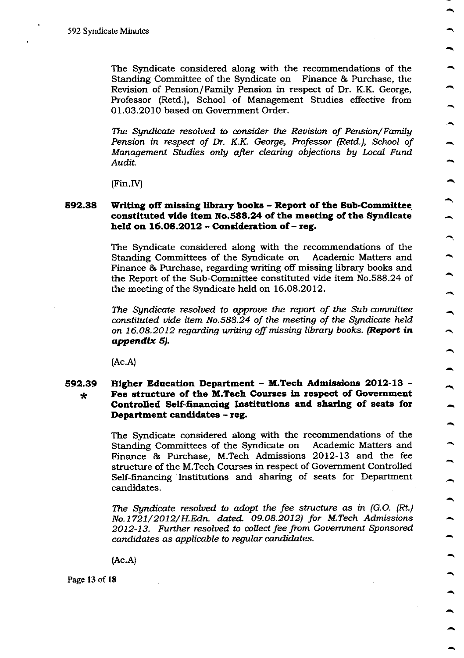The Syndicate considered along with the recommendations of the Standing Committee of the Syndicate on Finance & Purchase, the Revision of Pension/Family Pension in respect of Dr. K.K. George, Professor (Retd.), School of Management Studies effective from 01.03.2010 based on Government Order.

The Syndicate resolved to consider the Revision of Pension/Family Pension in respect of Dr. K.K. George, Professor (Retd.), School of Management Studies only after clearing objections by Local Fund Audit.

 $(Fin.IV)$ 

### 592.38 Writing off missing library books - Report of the Sub-Committee constituted vide item No.588.24 of the meeting of the Syndicate held on 16.08.2012 - Consideration of - reg.

The Syndicate considered along with the recommendations of the Standing Committees of the Syndicate on Academic Matters and Finance & Purchase, regarding writing off missing library books and the Report of the Sub-Committee constituted vide item No.588.24 of the meeting of the Syndicate held on 16.08.2012.

The Sundicate resolved to approve the report of the Sub-committee constituted vide item No.588.24 of the meeting of the Syndicate held on 16.08.2012 regarding writing off missing library books. (Report in appendix 5).

 $(Ac.A)$ 

### Higher Education Department - M.Tech Admissions 2012-13 -592.39 Fee structure of the M.Tech Courses in respect of Government  $\star$ Controlled Self-financing Institutions and sharing of seats for Department candidates - reg.

The Syndicate considered along with the recommendations of the Standing Committees of the Syndicate on Academic Matters and Finance & Purchase, M.Tech Admissions 2012-13 and the fee structure of the M.Tech Courses in respect of Government Controlled Self-financing Institutions and sharing of seats for Department candidates.

The Syndicate resolved to adopt the fee structure as in (G.O. (Rt.) No.1721/2012/H.Edn. dated. 09.08.2012) for M.Tech Admissions 2012-13. Further resolved to collect fee from Government Sponsored candidates as applicable to regular candidates.

 $(Ac.A)$ 

Page 13 of 18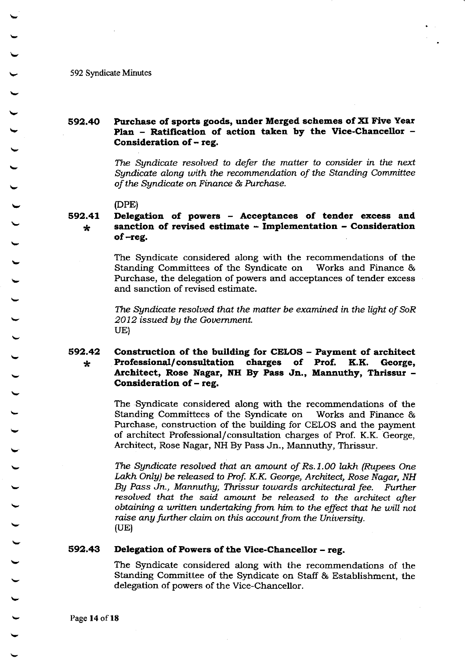### Purchase of sports goods, under Merged schemes of XI Five Year 592.40 Plan - Ratification of action taken by the Vice-Chancellor -Consideration of - reg.

The Syndicate resolved to defer the matter to consider in the next Sundicate along with the recommendation of the Standing Committee of the Syndicate on Finance & Purchase.

(DPE)

### 592.41 Delegation of powers - Acceptances of tender excess and sanction of revised estimate - Implementation - Consideration  $\star$ of -reg.

The Syndicate considered along with the recommendations of the Standing Committees of the Syndicate on Works and Finance & Purchase, the delegation of powers and acceptances of tender excess and sanction of revised estimate.

The Syndicate resolved that the matter be examined in the light of SoR 2012 issued by the Government. UE)

#### 592.42 Construction of the building for CELOS - Payment of architect Professional/consultation charges of Prof. K.K. George,  $\star$ Architect, Rose Nagar, NH By Pass Jn., Mannuthy, Thrissur -Consideration of – reg.

The Syndicate considered along with the recommendations of the Standing Committees of the Syndicate on Works and Finance & Purchase, construction of the building for CELOS and the payment of architect Professional/consultation charges of Prof. K.K. George, Architect, Rose Nagar, NH By Pass Jn., Mannuthy, Thrissur.

The Syndicate resolved that an amount of Rs.1.00 lakh (Rupees One Lakh Only) be released to Prof. K.K. George, Architect, Rose Nagar, NH By Pass Jn., Mannuthy, Thrissur towards architectural fee. Further resolved that the said amount be released to the architect after obtaining a written undertaking from him to the effect that he will not raise any further claim on this account from the University.  $(UE)$ 

#### 592.43 Delegation of Powers of the Vice-Chancellor - reg.

The Syndicate considered along with the recommendations of the Standing Committee of the Syndicate on Staff & Establishment, the delegation of powers of the Vice-Chancellor.

Page 14 of 18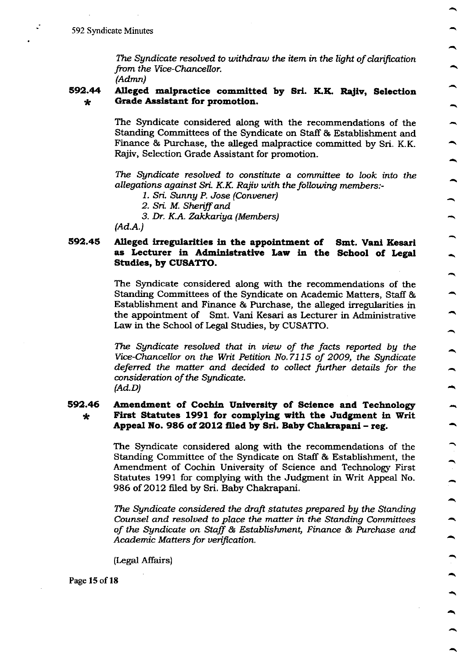The Syndicate resolved to withdraw the item in the light of clarification from the Vice-Chancellor.

 $(Admn)$ 

#### 592.44 Alleged malpractice committed by Sri. K.K. Rajiv, Selection Grade Assistant for promotion.  $\star$

The Syndicate considered along with the recommendations of the Standing Committees of the Syndicate on Staff & Establishment and Finance & Purchase, the alleged malpractice committed by Sri. K.K. Rajiv, Selection Grade Assistant for promotion.

The Syndicate resolved to constitute a committee to look into the allegations against Sri. K.K. Rajiv with the following members:-

- 1. Sri. Sunny P. Jose (Convener)
- 2. Sri. M. Sheriff and
- 3. Dr. K.A. Zakkariya (Members)

 $(Ad.A.)$ 

### 592.45 Alleged irregularities in the appointment of Smt. Vani Kesari as Lecturer in Administrative Law in the School of Legal Studies, by CUSATTO.

The Syndicate considered along with the recommendations of the Standing Committees of the Syndicate on Academic Matters, Staff & Establishment and Finance & Purchase, the alleged irregularities in the appointment of Smt. Vani Kesari as Lecturer in Administrative Law in the School of Legal Studies, by CUSATTO.

The Sundicate resolved that in view of the facts reported by the Vice-Chancellor on the Writ Petition No.7115 of 2009, the Syndicate deferred the matter and decided to collect further details for the consideration of the Syndicate.  $(Ad.D)$ 

### 592.46 Amendment of Cochin University of Science and Technology First Statutes 1991 for complying with the Judgment in Writ  $\star$ Appeal No. 986 of 2012 filed by Sri. Baby Chakrapani - reg.

The Syndicate considered along with the recommendations of the Standing Committee of the Syndicate on Staff & Establishment, the Amendment of Cochin University of Science and Technology First Statutes 1991 for complying with the Judgment in Writ Appeal No. 986 of 2012 filed by Sri. Baby Chakrapani.

The Sundicate considered the draft statutes prepared by the Standing Counsel and resolved to place the matter in the Standing Committees of the Syndicate on Staff & Establishment, Finance & Purchase and Academic Matters for verification.

(Legal Affairs)

Page 15 of 18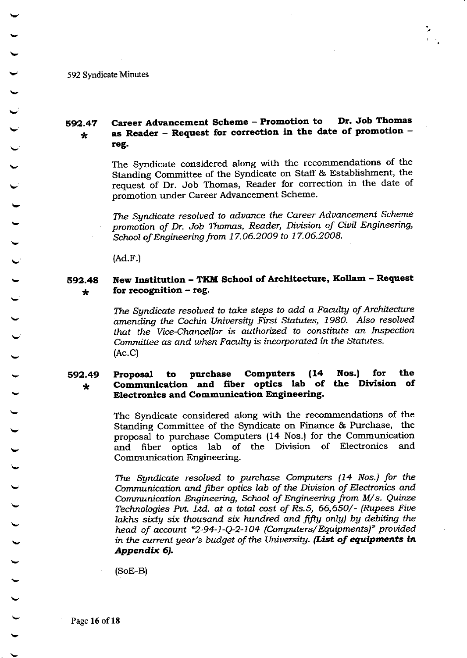#### Career Advancement Scheme - Promotion to Dr. Job Thomas 592.47 as Reader - Request for correction in the date of promotion - $\star$ reg.

The Syndicate considered along with the recommendations of the Standing Committee of the Syndicate on Staff & Establishment, the request of Dr. Job Thomas, Reader for correction in the date of promotion under Career Advancement Scheme.

The Syndicate resolved to advance the Career Advancement Scheme promotion of Dr. Job Thomas, Reader, Division of Civil Engineering, School of Engineering from 17.06.2009 to 17.06.2008.

 $(Ad.F.)$ 

#### New Institution - TKM School of Architecture, Kollam - Request 592.48 for recognition  $-$  reg.  $\star$

The Syndicate resolved to take steps to add a Faculty of Architecture amending the Cochin University First Statutes, 1980. Also resolved that the Vice-Chancellor is authorized to constitute an Inspection Committee as and when Faculty is incorporated in the Statutes.  $(AC.C)$ 

#### $(14)$ **Computers** Nos.) for the purchase 592.49 Proposal to Communication and fiber optics lab of the Division of  $\star$ **Electronics and Communication Engineering.**

The Syndicate considered along with the recommendations of the Standing Committee of the Syndicate on Finance & Purchase, the proposal to purchase Computers (14 Nos.) for the Communication and fiber optics lab of the Division of Electronics and Communication Engineering.

The Syndicate resolved to purchase Computers (14 Nos.) for the Communication and fiber optics lab of the Division of Electronics and Communication Engineering, School of Engineering from M/s. Quinze Technologies Pvt. Ltd. at a total cost of Rs.5, 66,650/- (Rupees Five lakhs sixty six thousand six hundred and fifty only) by debiting the head of account "2-94-1-Q-2-104 (Computers/Equipments)" provided in the current year's budget of the University. (List of equipments in Appendix 6).

 $(SoE-B)$ 

Page 16 of 18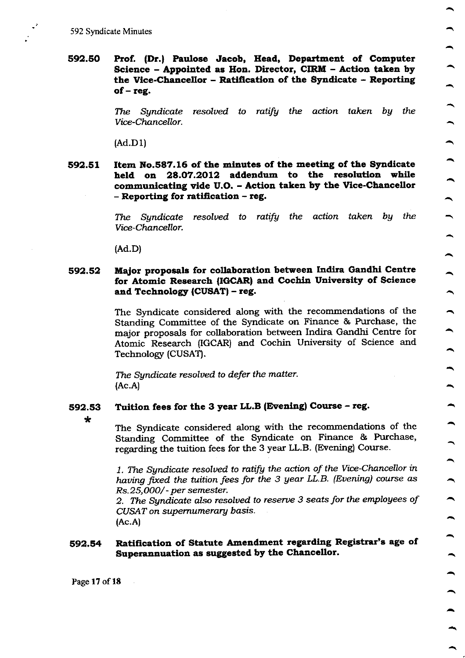592.50 Prof. (Dr.) Paulose Jacob, Head, Department of Computer Science - Appointed as Hon. Director, CIRM - Action taken by the Vice-Chancellor - Ratification of the Syndicate - Reporting of  $-$  reg.

> The Syndicate resolved to ratify the action taken by the Vice-Chancellor.

 $(Ad.D1)$ 

592.51 Item No.587.16 of the minutes of the meeting of the Syndicate held on 28.07.2012 addendum to the resolution while communicating vide U.O. - Action taken by the Vice-Chancellor - Reporting for ratification - reg.

> Syndicate resolved to ratify the action taken by the The Vice-Chancellor.

 $(Ad.D)$ 

### Major proposals for collaboration between Indira Gandhi Centre 592.52 for Atomic Research (IGCAR) and Cochin University of Science and Technology (CUSAT) – reg.

The Syndicate considered along with the recommendations of the Standing Committee of the Syndicate on Finance & Purchase, the major proposals for collaboration between Indira Gandhi Centre for Atomic Research (IGCAR) and Cochin University of Science and Technology (CUSAT).

The Syndicate resolved to defer the matter.  $(Ac.A)$ 

#### Tuition fees for the 3 year LL.B (Evening) Course - reg. 592.53

 $\star$ 

The Syndicate considered along with the recommendations of the Standing Committee of the Syndicate on Finance & Purchase, regarding the tuition fees for the 3 year LL.B. (Evening) Course.

1. The Syndicate resolved to ratify the action of the Vice-Chancellor in having fixed the tuition fees for the 3 year LL.B. (Evening) course as Rs.25,000/- per semester.

2. The Syndicate also resolved to reserve 3 seats for the employees of CUSAT on supernumerary basis.  $(Ac.A)$ 

### Ratification of Statute Amendment regarding Registrar's age of 592.54 Superannuation as suggested by the Chancellor.

Page 17 of 18